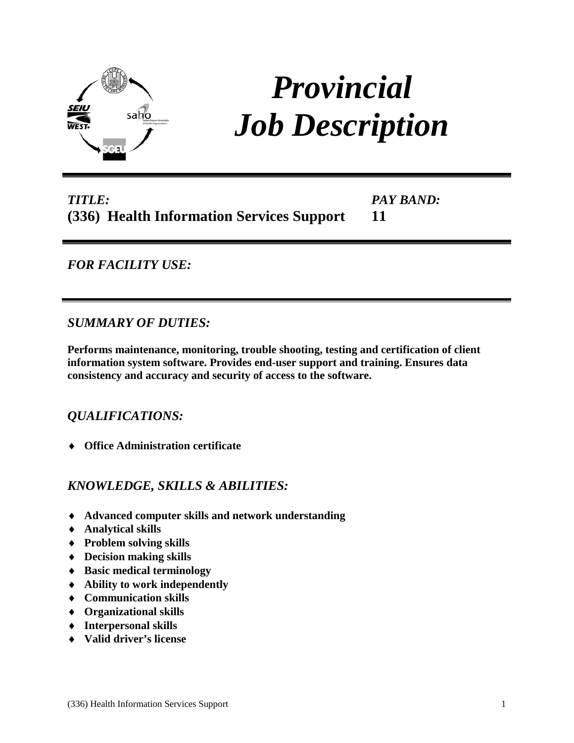

# *Provincial Job Description*

#### *TITLE:* **(336) Health Information Services Support** *PAY BAND:* **11**

# *FOR FACILITY USE:*

### *SUMMARY OF DUTIES:*

**Performs maintenance, monitoring, trouble shooting, testing and certification of client information system software. Provides end-user support and training. Ensures data consistency and accuracy and security of access to the software.**

# *QUALIFICATIONS:*

♦ **Office Administration certificate** 

# *KNOWLEDGE, SKILLS & ABILITIES:*

- ♦ **Advanced computer skills and network understanding**
- ♦ **Analytical skills**
- ♦ **Problem solving skills**
- ♦ **Decision making skills**
- ♦ **Basic medical terminology**
- ♦ **Ability to work independently**
- ♦ **Communication skills**
- ♦ **Organizational skills**
- ♦ **Interpersonal skills**
- ♦ **Valid driver's license**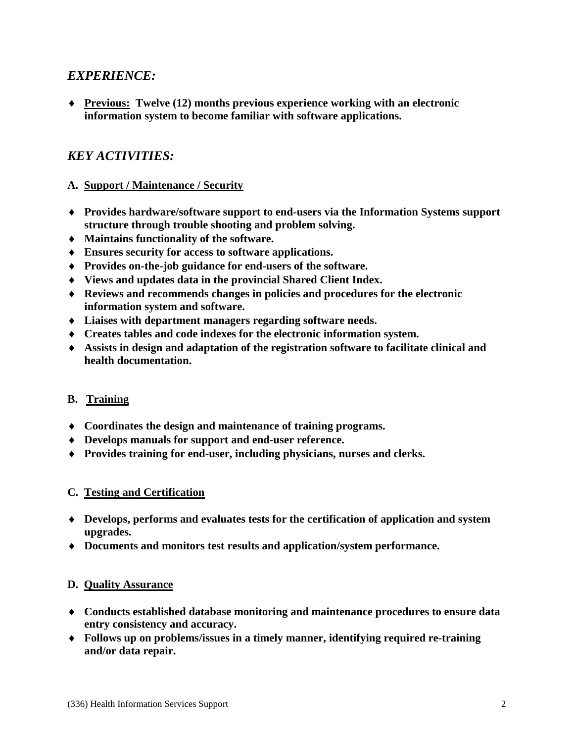### *EXPERIENCE:*

♦ **Previous: Twelve (12) months previous experience working with an electronic information system to become familiar with software applications.**

# *KEY ACTIVITIES:*

#### **A. Support / Maintenance / Security**

- ♦ **Provides hardware/software support to end-users via the Information Systems support structure through trouble shooting and problem solving.**
- ♦ **Maintains functionality of the software.**
- ♦ **Ensures security for access to software applications.**
- ♦ **Provides on-the-job guidance for end-users of the software.**
- ♦ **Views and updates data in the provincial Shared Client Index.**
- ♦ **Reviews and recommends changes in policies and procedures for the electronic information system and software.**
- ♦ **Liaises with department managers regarding software needs.**
- ♦ **Creates tables and code indexes for the electronic information system.**
- ♦ **Assists in design and adaptation of the registration software to facilitate clinical and health documentation.**

#### **B. Training**

- ♦ **Coordinates the design and maintenance of training programs.**
- ♦ **Develops manuals for support and end-user reference.**
- ♦ **Provides training for end-user, including physicians, nurses and clerks.**

#### **C. Testing and Certification**

- ♦ **Develops, performs and evaluates tests for the certification of application and system upgrades.**
- ♦ **Documents and monitors test results and application/system performance.**

#### **D. Quality Assurance**

- ♦ **Conducts established database monitoring and maintenance procedures to ensure data entry consistency and accuracy.**
- ♦ **Follows up on problems/issues in a timely manner, identifying required re-training and/or data repair.**